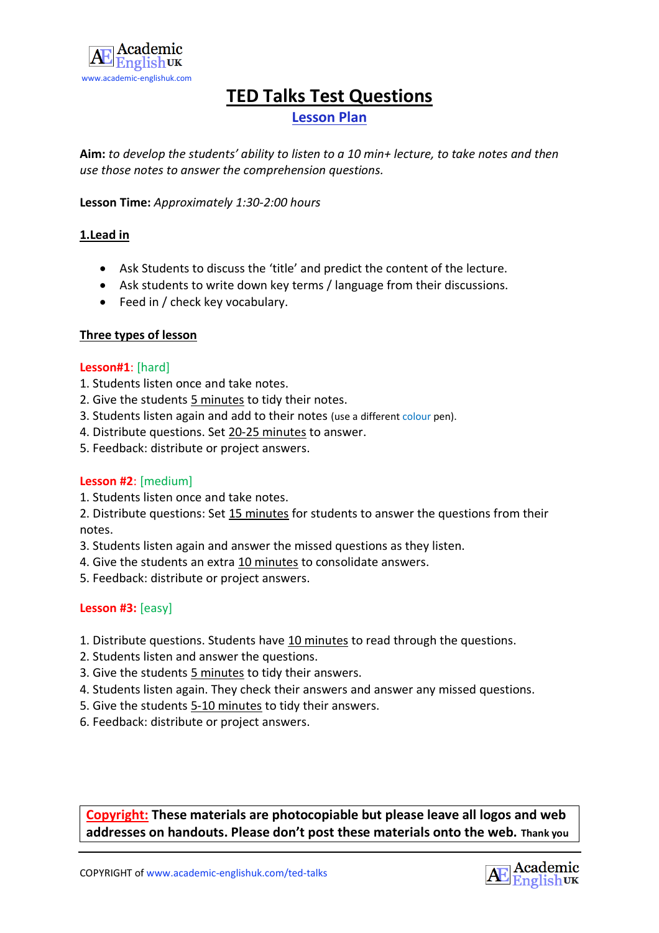

# **TED Talks Test Questions**

**Lesson Plan**

**Aim:** *to develop the students' ability to listen to a 10 min+ lecture, to take notes and then use those notes to answer the comprehension questions.*

**Lesson Time:** *Approximately 1:30-2:00 hours*

## **1.Lead in**

- Ask Students to discuss the 'title' and predict the content of the lecture.
- Ask students to write down key terms / language from their discussions.
- Feed in / check key vocabulary.

### **Three types of lesson**

#### **Lesson#1**: [hard]

- 1. Students listen once and take notes.
- 2. Give the students 5 minutes to tidy their notes.
- 3. Students listen again and add to their notes (use a different colour pen).
- 4. Distribute questions. Set 20-25 minutes to answer.
- 5. Feedback: distribute or project answers.

#### **Lesson #2**: [medium]

1. Students listen once and take notes.

2. Distribute questions: Set 15 minutes for students to answer the questions from their notes.

- 3. Students listen again and answer the missed questions as they listen.
- 4. Give the students an extra 10 minutes to consolidate answers.
- 5. Feedback: distribute or project answers.

#### **Lesson #3:** [easy]

- 1. Distribute questions. Students have 10 minutes to read through the questions.
- 2. Students listen and answer the questions.
- 3. Give the students 5 minutes to tidy their answers.
- 4. Students listen again. They check their answers and answer any missed questions.
- 5. Give the students 5-10 minutes to tidy their answers.
- 6. Feedback: distribute or project answers.

**Copyright: These materials are photocopiable but please leave all logos and web addresses on handouts. Please don't post these materials onto the web. Thank you**

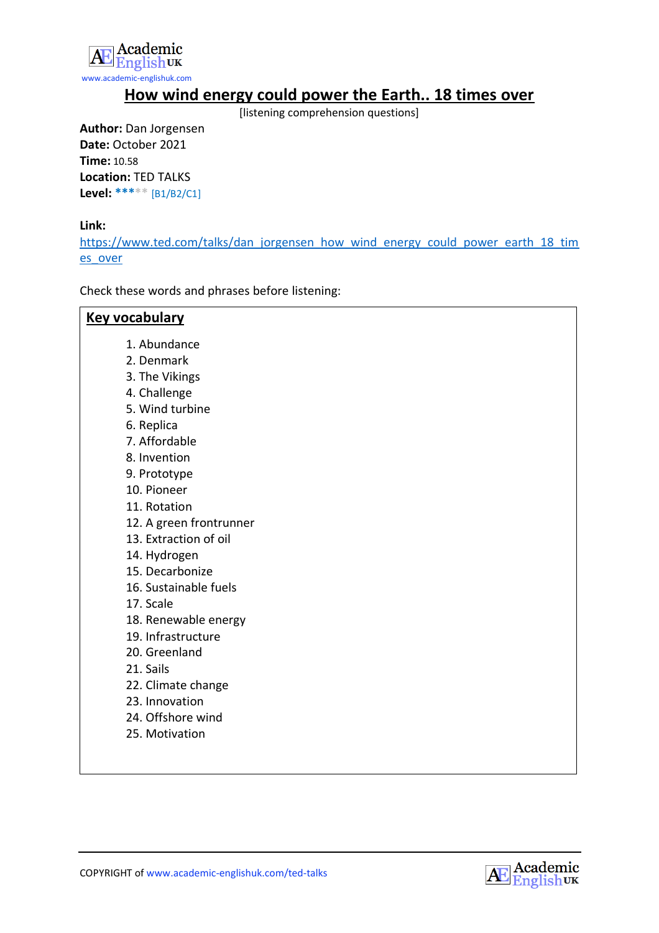

# **How wind energy could power the Earth.. 18 times over**

[listening comprehension questions]

**Author:** Dan Jorgensen **Date:** October 2021 **Time:** 10.58 **Location:** TED TALKS **Level: \*\*\*\*\*** [B1/B2/C1]

#### **Link:**

[https://www.ted.com/talks/dan\\_jorgensen\\_how\\_wind\\_energy\\_could\\_power\\_earth\\_18\\_tim](https://www.ted.com/talks/dan_jorgensen_how_wind_energy_could_power_earth_18_times_over) [es\\_over](https://www.ted.com/talks/dan_jorgensen_how_wind_energy_could_power_earth_18_times_over)

Check these words and phrases before listening:

| 1. Abundance            |  |  |
|-------------------------|--|--|
| 2. Denmark              |  |  |
| 3. The Vikings          |  |  |
| 4. Challenge            |  |  |
| 5. Wind turbine         |  |  |
| 6. Replica              |  |  |
| 7. Affordable           |  |  |
| 8. Invention            |  |  |
| 9. Prototype            |  |  |
| 10. Pioneer             |  |  |
| 11. Rotation            |  |  |
| 12. A green frontrunner |  |  |
| 13. Extraction of oil   |  |  |
| 14. Hydrogen            |  |  |
| 15. Decarbonize         |  |  |
| 16. Sustainable fuels   |  |  |
| 17. Scale               |  |  |
| 18. Renewable energy    |  |  |
| 19. Infrastructure      |  |  |
| 20. Greenland           |  |  |
| 21. Sails               |  |  |
| 22. Climate change      |  |  |
| 23. Innovation          |  |  |
| 24. Offshore wind       |  |  |
| 25. Motivation          |  |  |

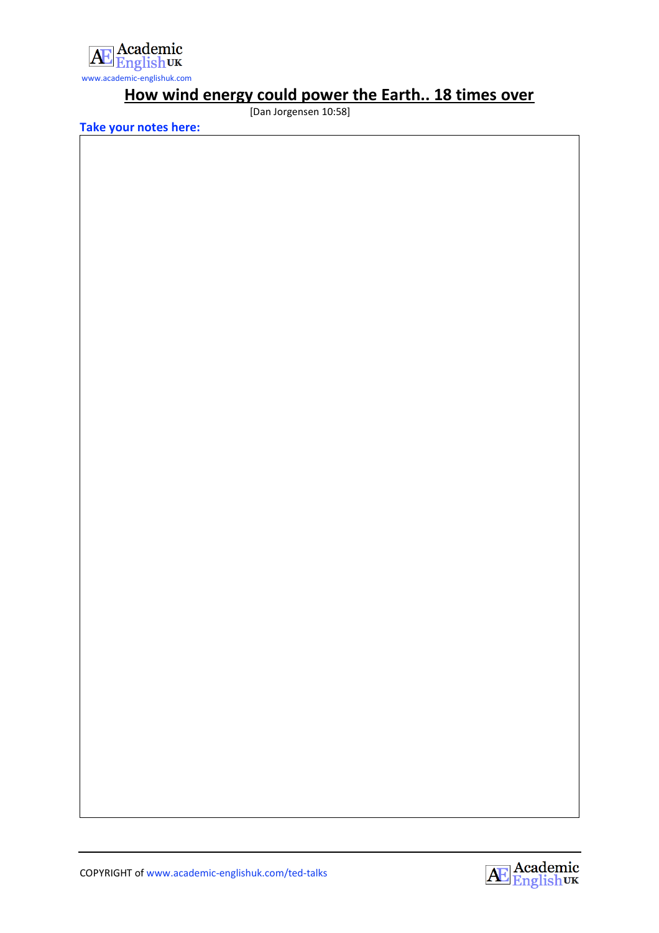

# **How wind energy could power the Earth.. 18 times over**

**Take your notes here:**

[Dan Jorgensen 10:58]

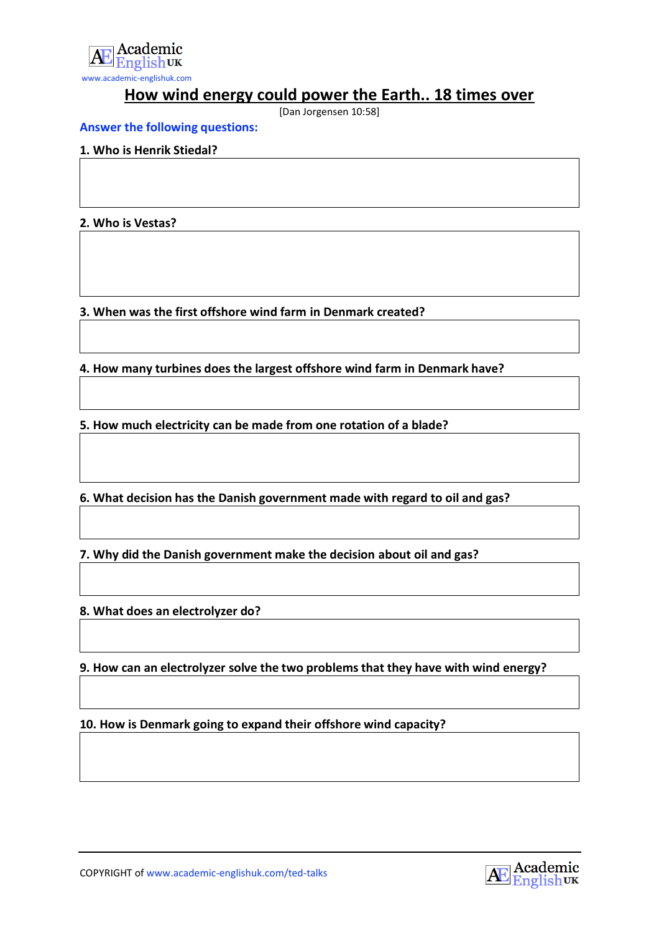

# **How wind energy could power the Earth.. 18 times over**

[Dan Jorgensen 10:58]

#### **Answer the following questions:**

#### **1. Who is Henrik Stiedal?**

**2. Who is Vestas?**

**3. When was the first offshore wind farm in Denmark created?**

**4. How many turbines does the largest offshore wind farm in Denmark have?**

**5. How much electricity can be made from one rotation of a blade?**

**6. What decision has the Danish government made with regard to oil and gas?**

**7. Why did the Danish government make the decision about oil and gas?**

**8. What does an electrolyzer do?**

**9. How can an electrolyzer solve the two problems that they have with wind energy?**

**10. How is Denmark going to expand their offshore wind capacity?**

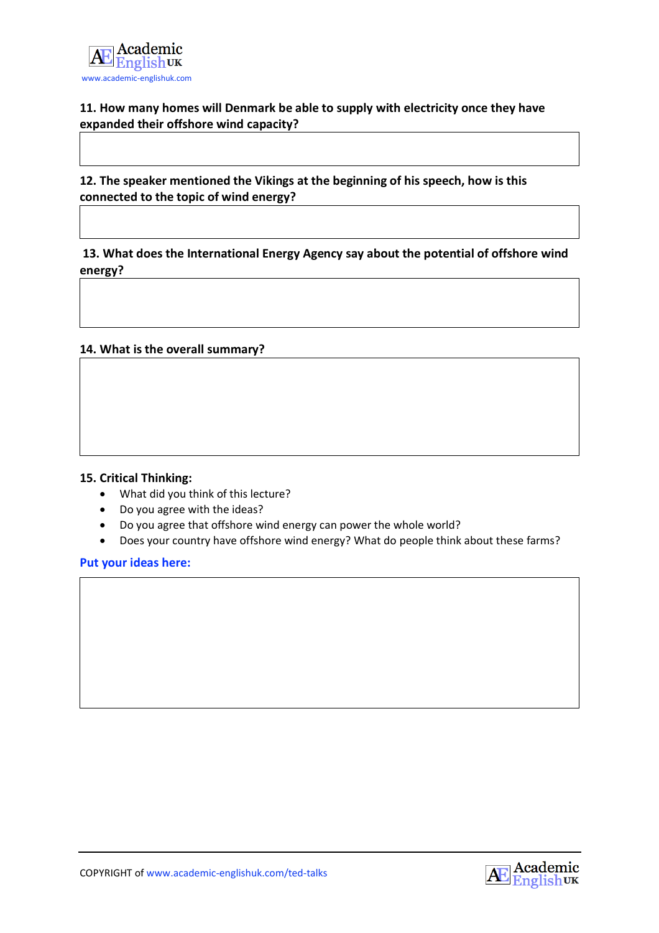

# **11. How many homes will Denmark be able to supply with electricity once they have expanded their offshore wind capacity?**

**12. The speaker mentioned the Vikings at the beginning of his speech, how is this connected to the topic of wind energy?**

**13. What does the International Energy Agency say about the potential of offshore wind energy?**

#### **14. What is the overall summary?**

#### **15. Critical Thinking:**

- What did you think of this lecture?
- Do you agree with the ideas?
- Do you agree that offshore wind energy can power the whole world?
- Does your country have offshore wind energy? What do people think about these farms?

**Put your ideas here:**

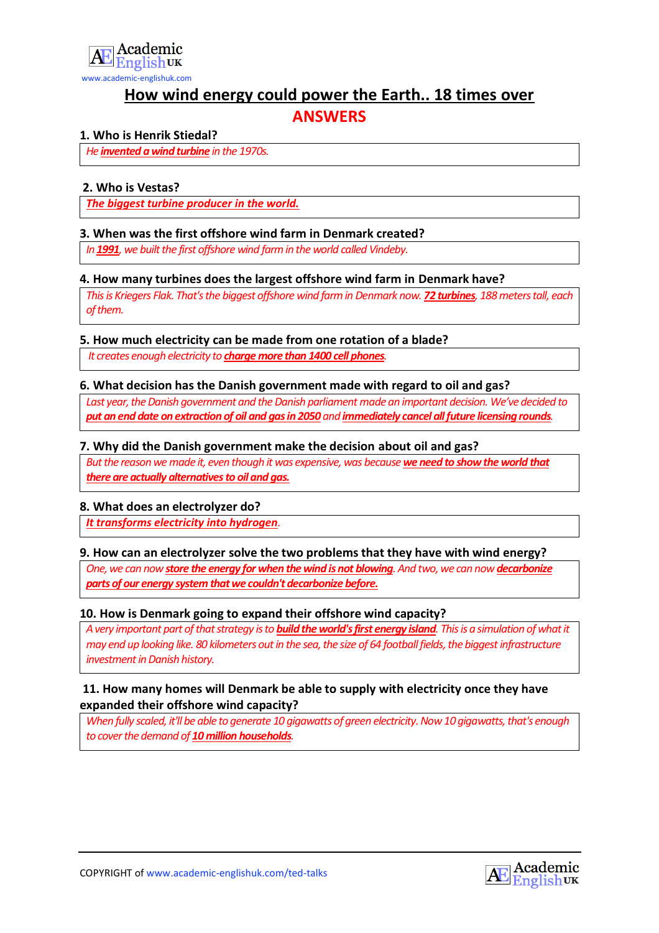

# **How wind energy could power the Earth.. 18 times over ANSWERS**

#### **1. Who is Henrik Stiedal?**

*He invented a wind turbine in the 1970s.*

#### **2. Who is Vestas?**

*The biggest turbine producer in the world.* 

#### **3. When was the first offshore wind farm in Denmark created?**

*In 1991, we built the first offshore wind farm in the world called Vindeby.*

#### **4. How many turbines does the largest offshore wind farm in Denmark have?**

*This is Kriegers Flak. That's the biggest offshore wind farm in Denmark now. 72 turbines, 188 meters tall, each of them.*

#### **5. How much electricity can be made from one rotation of a blade?**

*It creates enough electricity to charge more than 1400 cell phones.*

### **6. What decision has the Danish government made with regard to oil and gas?**

*Last year, the Danish government and the Danish parliamentmade an important decision. We've decided to put an end date on extraction of oil and gas in 2050 and immediately cancel all future licensing rounds.*

#### **7. Why did the Danish government make the decision about oil and gas?**

*But the reason we made it, even though it was expensive, was because we need to show the world that there are actually alternatives to oil and gas.*

#### **8. What does an electrolyzer do?**

*It transforms electricity into hydrogen.*

#### **9. How can an electrolyzer solve the two problems that they have with wind energy?**

*One, we can now store the energy for when the wind is not blowing.And two,we can now decarbonize parts of our energy system that we couldn't decarbonize before.*

#### **10. How is Denmark going to expand their offshore wind capacity?**

*A very important part of that strategy is to build the world's first energy island. This is a simulation of what it may end up looking like. 80 kilometers out in the sea, the size of 64 football fields, the biggest infrastructure investment in Danish history.*

## **11. How many homes will Denmark be able to supply with electricity once they have expanded their offshore wind capacity?**

*When fully scaled, it'll be able to generate 10 gigawatts of green electricity. Now 10 gigawatts, that's enough to cover the demand of 10 million households.*